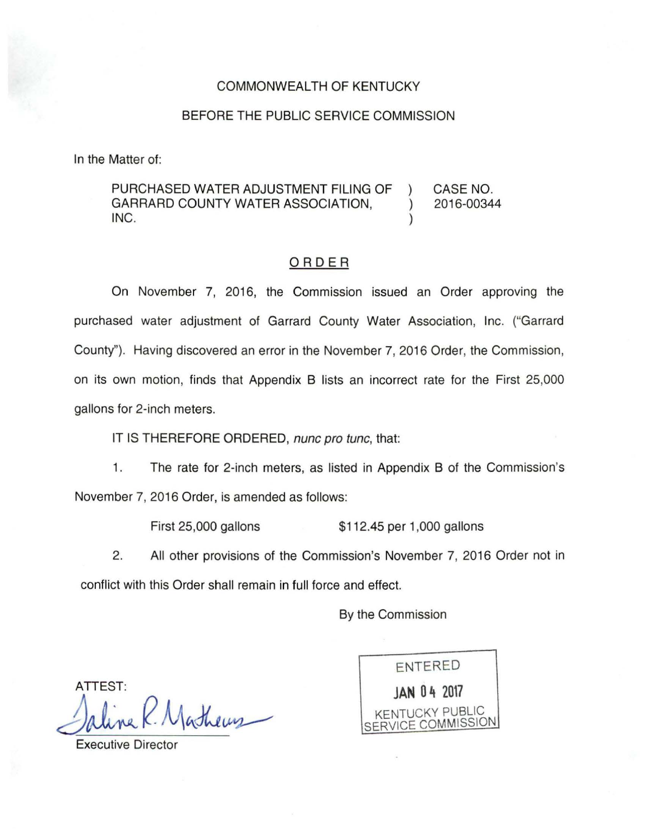## COMMONWEALTH OF KENTUCKY

## BEFORE THE PUBLIC SERVICE COMMISSION

In the Matter of:

PURCHASED WATER ADJUSTMENT FILING OF ) CASE NO. GARRARD COUNTY WATER ASSOCIATION,  $\qquad$  ) 2016-00344  $INC.$  )

## ORDER

On November 7, 2016, the Commission issued an Order approving the purchased water adjustment of Garrard County Water Association, Inc. ("Garrard County"). Having discovered an error in the November 7, 2016 Order, the Commission, on its own motion, finds that Appendix B lists an incorrect rate for the First 25,000 gallons for 2-inch meters.

IT IS THEREFORE ORDERED, nunc pro tunc, that:

1. The rate for 2-inch meters, as listed in Appendix B of the Commission's November 7, 2016 Order, is amended as follows:

First 25,000 gallons \$112.45 per 1,000 gallons

2. All other provisions of the Commission's November 7, 2016 Order not in conflict with this Order shall remain in full force and effect.

By the Commission

ATTEST: Saline K. Masheus

ENTERED **JAN 0** ~ **<sup>2017</sup>** KENTUCKY PUBLIC CE COMMISSION

Executive Director